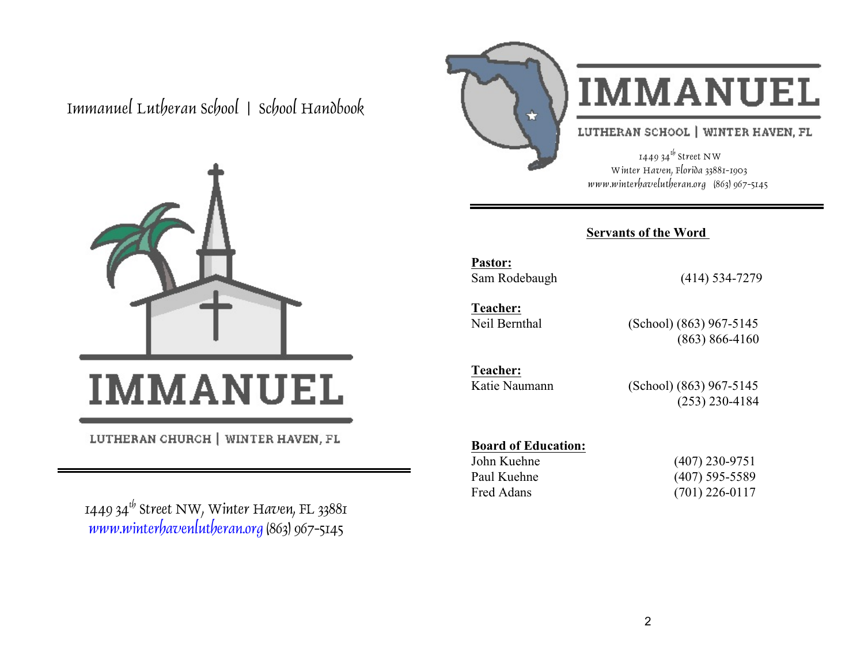# Immanuel Lutheran School | School Handbook



# **IMMANUEL**

LUTHERAN CHURCH | WINTER HAVEN, FL

1449 34<sup>th</sup> Street NW, Winter Haven, FL 33881 [www.winterhavenlutheran.org](http://www.winterhavenlutheran.org) (863) 967-5145



# **IMMANUEL**

# LUTHERAN SCHOOL | WINTER HAVEN, FL

1449 34<sup>th</sup> Street NW Winter Haven, Florida 33881-1903 [www.winterhavelutheran.org](http://www.winterhavelutheran.org) (863) 967-5145

# **Servants of the Word**

**Pastor:** Sam Rodebaugh (414) 534-7279

**Teacher:**

Neil Bernthal (School) (863) 967-5145 (863) 866-4160

**Teacher:**

Katie Naumann (School) (863) 967-5145 (253) 230-4184

#### **Board of Education:**

John Kuehne (407) 230-9751 Paul Kuehne (407) 595-5589 Fred Adans (701) 226-0117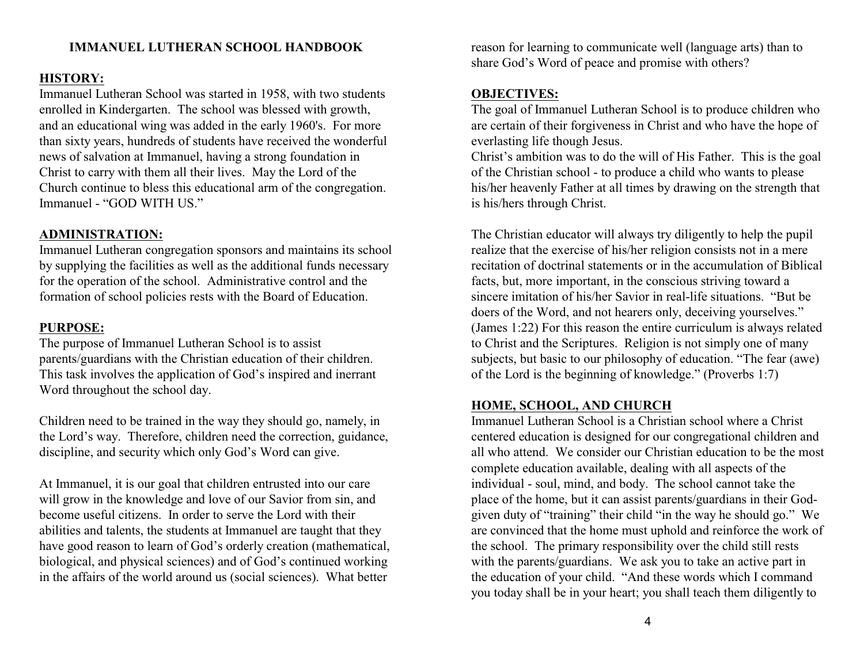#### **IMMANUEL LUTHERAN SCHOOL HANDBOOK**

#### **HISTORY:**

Immanuel Lutheran School was started in 1958, with two students enrolled in Kindergarten. The school was blessed with growth, and an educational wing was added in the early 1960's. For more than sixty years, hundreds of students have received the wonderful news of salvation at Immanuel, having a strong foundation in Christ to carry with them all their lives. May the Lord of the Church continue to bless this educational arm of the congregation. Immanuel - "GOD WITH US."

#### **ADMINISTRATION:**

Immanuel Lutheran congregation sponsors and maintains its school by supplying the facilities as well as the additional funds necessary for the operation of the school. Administrative control and the formation of school policies rests with the Board of Education.

#### **PURPOSE:**

The purpose of Immanuel Lutheran School is to assist parents/guardians with the Christian education of their children. This task involves the application of God's inspired and inerrant Word throughout the school day.

Children need to be trained in the way they should go, namely, in the Lord's way. Therefore, children need the correction, guidance, discipline, and security which only God's Word can give.

At Immanuel, it is our goal that children entrusted into our care will grow in the knowledge and love of our Savior from sin, and become useful citizens. In order to serve the Lord with their abilities and talents, the students at Immanuel are taught that they have good reason to learn of God's orderly creation (mathematical, biological, and physical sciences) and of God's continued working in the affairs of the world around us (social sciences). What better

reason for learning to communicate well (language arts) than to share God's Word of peace and promise with others?

#### **OBJECTIVES:**

The goal of Immanuel Lutheran School is to produce children who are certain of their forgiveness in Christ and who have the hope of everlasting life though Jesus.

Christ's ambition was to do the will of His Father. This is the goal of the Christian school - to produce a child who wants to please his/her heavenly Father at all times by drawing on the strength that is his/hers through Christ.

The Christian educator will always try diligently to help the pupil realize that the exercise of his/her religion consists not in a mere recitation of doctrinal statements or in the accumulation of Biblical facts, but, more important, in the conscious striving toward a sincere imitation of his/her Savior in real-life situations. "But be doers of the Word, and not hearers only, deceiving yourselves." (James 1:22) For this reason the entire curriculum is always related to Christ and the Scriptures. Religion is not simply one of many subjects, but basic to our philosophy of education. "The fear (awe) of the Lord is the beginning of knowledge." (Proverbs 1:7)

#### **HOME, SCHOOL, AND CHURCH**

Immanuel Lutheran School is a Christian school where a Christ centered education is designed for our congregational children and all who attend. We consider our Christian education to be the most complete education available, dealing with all aspects of the individual - soul, mind, and body. The school cannot take the place of the home, but it can assist parents/guardians in their Godgiven duty of "training" their child "in the way he should go." We are convinced that the home must uphold and reinforce the work of the school. The primary responsibility over the child still rests with the parents/guardians. We ask you to take an active part in the education of your child. "And these words which I command you today shall be in your heart; you shall teach them diligently to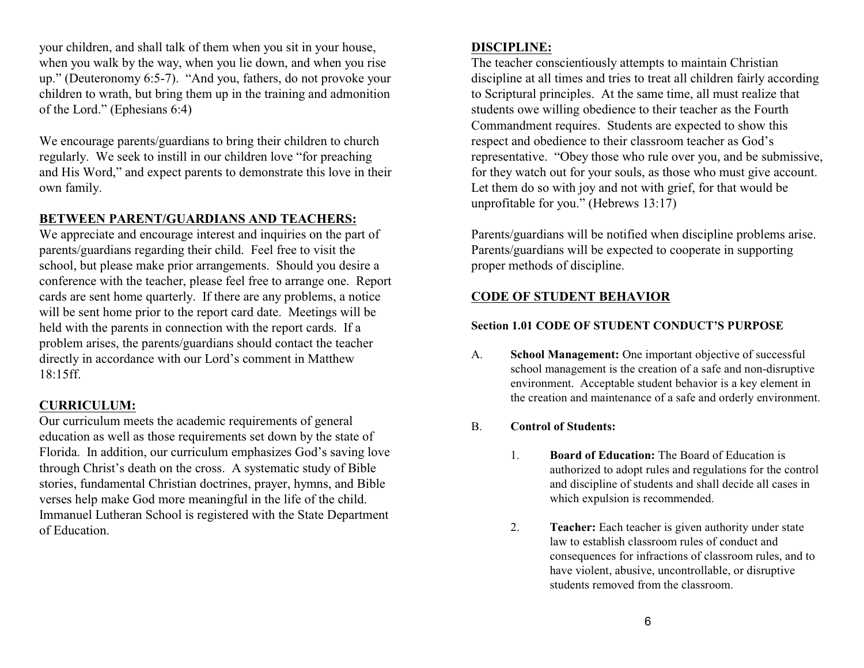your children, and shall talk of them when you sit in your house, when you walk by the way, when you lie down, and when you rise up." (Deuteronomy 6:5-7). "And you, fathers, do not provoke your children to wrath, but bring them up in the training and admonition of the Lord." (Ephesians 6:4)

We encourage parents/guardians to bring their children to church regularly. We seek to instill in our children love "for preaching and His Word," and expect parents to demonstrate this love in their own family.

# **BETWEEN PARENT/GUARDIANS AND TEACHERS:**

We appreciate and encourage interest and inquiries on the part of parents/guardians regarding their child. Feel free to visit the school, but please make prior arrangements. Should you desire a conference with the teacher, please feel free to arrange one. Report cards are sent home quarterly. If there are any problems, a notice will be sent home prior to the report card date. Meetings will be held with the parents in connection with the report cards. If a problem arises, the parents/guardians should contact the teacher directly in accordance with our Lord's comment in Matthew 18:15ff.

# **CURRICULUM:**

Our curriculum meets the academic requirements of general education as well as those requirements set down by the state of Florida. In addition, our curriculum emphasizes God's saving love through Christ's death on the cross. A systematic study of Bible stories, fundamental Christian doctrines, prayer, hymns, and Bible verses help make God more meaningful in the life of the child. Immanuel Lutheran School is registered with the State Department of Education.

### **DISCIPLINE:**

The teacher conscientiously attempts to maintain Christian discipline at all times and tries to treat all children fairly according to Scriptural principles. At the same time, all must realize that students owe willing obedience to their teacher as the Fourth Commandment requires. Students are expected to show this respect and obedience to their classroom teacher as God's representative. "Obey those who rule over you, and be submissive, for they watch out for your souls, as those who must give account. Let them do so with joy and not with grief, for that would be unprofitable for you." (Hebrews 13:17)

Parents/guardians will be notified when discipline problems arise. Parents/guardians will be expected to cooperate in supporting proper methods of discipline.

# **CODE OF STUDENT BEHAVIOR**

# **Section 1.01 CODE OF STUDENT CONDUCT'S PURPOSE**

- A. **School Management:** One important objective of successful school management is the creation of a safe and non-disruptive environment. Acceptable student behavior is a key element in the creation and maintenance of a safe and orderly environment.
- B. **Control of Students:**
	- 1. **Board of Education:** The Board of Education is authorized to adopt rules and regulations for the control and discipline of students and shall decide all cases in which expulsion is recommended.
	- 2. **Teacher:** Each teacher is given authority under state law to establish classroom rules of conduct and consequences for infractions of classroom rules, and to have violent, abusive, uncontrollable, or disruptive students removed from the classroom.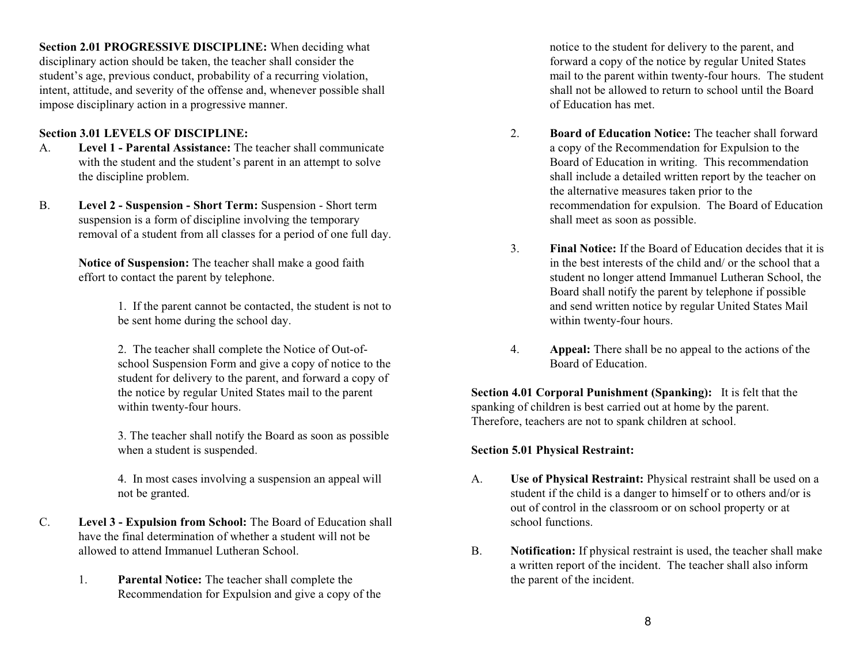**Section 2.01 PROGRESSIVE DISCIPLINE:** When deciding what disciplinary action should be taken, the teacher shall consider the student's age, previous conduct, probability of a recurring violation, intent, attitude, and severity of the offense and, whenever possible shall impose disciplinary action in a progressive manner.

#### **Section 3.01 LEVELS OF DISCIPLINE:**

- A. **Level 1 Parental Assistance:** The teacher shall communicate with the student and the student's parent in an attempt to solve the discipline problem.
- B. **Level 2 Suspension Short Term:** Suspension Short term suspension is a form of discipline involving the temporary removal of a student from all classes for a period of one full day.

**Notice of Suspension:** The teacher shall make a good faith effort to contact the parent by telephone.

> 1. If the parent cannot be contacted, the student is not to be sent home during the school day.

> 2. The teacher shall complete the Notice of Out-ofschool Suspension Form and give a copy of notice to the student for delivery to the parent, and forward a copy of the notice by regular United States mail to the parent within twenty-four hours.

> 3. The teacher shall notify the Board as soon as possible when a student is suspended.

4. In most cases involving a suspension an appeal will not be granted.

- C. **Level 3 Expulsion from School:** The Board of Education shall have the final determination of whether a student will not be allowed to attend Immanuel Lutheran School.
	- 1. **Parental Notice:** The teacher shall complete the Recommendation for Expulsion and give a copy of the

notice to the student for delivery to the parent, and forward a copy of the notice by regular United States mail to the parent within twenty-four hours. The student shall not be allowed to return to school until the Board of Education has met.

- 2. **Board of Education Notice:** The teacher shall forward a copy of the Recommendation for Expulsion to the Board of Education in writing. This recommendation shall include a detailed written report by the teacher on the alternative measures taken prior to the recommendation for expulsion. The Board of Education shall meet as soon as possible.
- 3. **Final Notice:** If the Board of Education decides that it is in the best interests of the child and/ or the school that a student no longer attend Immanuel Lutheran School, the Board shall notify the parent by telephone if possible and send written notice by regular United States Mail within twenty-four hours.
- 4. **Appeal:** There shall be no appeal to the actions of the Board of Education.

**Section 4.01 Corporal Punishment (Spanking):** It is felt that the spanking of children is best carried out at home by the parent. Therefore, teachers are not to spank children at school.

#### **Section 5.01 Physical Restraint:**

- A. **Use of Physical Restraint:** Physical restraint shall be used on a student if the child is a danger to himself or to others and/or is out of control in the classroom or on school property or at school functions.
- B. **Notification:** If physical restraint is used, the teacher shall make a written report of the incident. The teacher shall also inform the parent of the incident.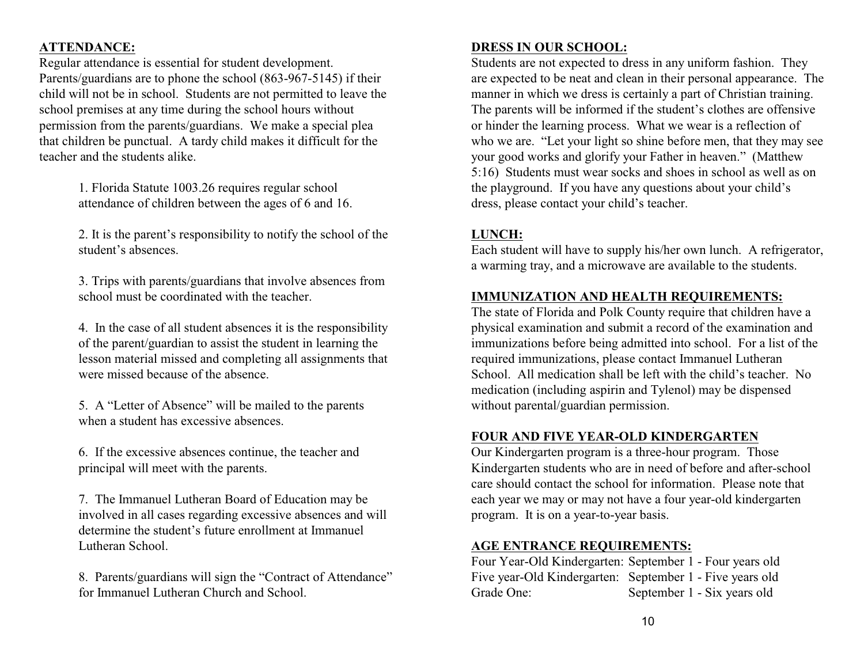# **ATTENDANCE:**

Regular attendance is essential for student development. Parents/guardians are to phone the school (863-967-5145) if their child will not be in school. Students are not permitted to leave the school premises at any time during the school hours without permission from the parents/guardians. We make a special plea that children be punctual. A tardy child makes it difficult for the teacher and the students alike.

> 1. Florida Statute 1003.26 requires regular school attendance of children between the ages of 6 and 16.

2. It is the parent's responsibility to notify the school of the student's absences.

3. Trips with parents/guardians that involve absences from school must be coordinated with the teacher.

4. In the case of all student absences it is the responsibility of the parent/guardian to assist the student in learning the lesson material missed and completing all assignments that were missed because of the absence.

5. A "Letter of Absence" will be mailed to the parents when a student has excessive absences.

6. If the excessive absences continue, the teacher and principal will meet with the parents.

7. The Immanuel Lutheran Board of Education may be involved in all cases regarding excessive absences and will determine the student's future enrollment at Immanuel Lutheran School.

8. Parents/guardians will sign the "Contract of Attendance" for Immanuel Lutheran Church and School.

#### **DRESS IN OUR SCHOOL:**

Students are not expected to dress in any uniform fashion. They are expected to be neat and clean in their personal appearance. The manner in which we dress is certainly a part of Christian training. The parents will be informed if the student's clothes are offensive or hinder the learning process. What we wear is a reflection of who we are. "Let your light so shine before men, that they may see your good works and glorify your Father in heaven." (Matthew 5:16) Students must wear socks and shoes in school as well as on the playground. If you have any questions about your child's dress, please contact your child's teacher.

# **LUNCH:**

Each student will have to supply his/her own lunch. A refrigerator, a warming tray, and a microwave are available to the students.

# **IMMUNIZATION AND HEALTH REQUIREMENTS:**

The state of Florida and Polk County require that children have a physical examination and submit a record of the examination and immunizations before being admitted into school. For a list of the required immunizations, please contact Immanuel Lutheran School. All medication shall be left with the child's teacher. No medication (including aspirin and Tylenol) may be dispensed without parental/guardian permission.

### **FOUR AND FIVE YEAR-OLD KINDERGARTEN**

Our Kindergarten program is a three-hour program. Those Kindergarten students who are in need of before and after-school care should contact the school for information. Please note that each year we may or may not have a four year-old kindergarten program. It is on a year-to-year basis.

# **AGE ENTRANCE REQUIREMENTS:**

Four Year-Old Kindergarten: September 1 - Four years old Five year-Old Kindergarten: September 1 - Five years old Grade One: September 1 - Six years old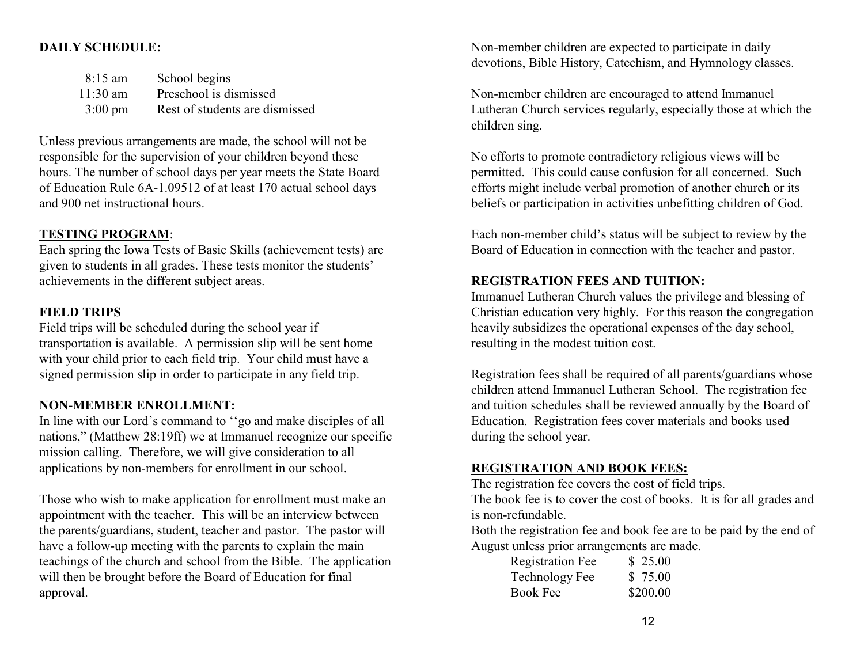#### **DAILY SCHEDULE:**

| $8:15 \text{ am}$  | School begins                  |
|--------------------|--------------------------------|
| $11:30 \text{ am}$ | Preschool is dismissed         |
| $3:00 \text{ pm}$  | Rest of students are dismissed |

Unless previous arrangements are made, the school will not be responsible for the supervision of your children beyond these hours. The number of school days per year meets the State Board of Education Rule 6A-1.09512 of at least 170 actual school days and 900 net instructional hours.

#### **TESTING PROGRAM**:

Each spring the Iowa Tests of Basic Skills (achievement tests) are given to students in all grades. These tests monitor the students' achievements in the different subject areas.

#### **FIELD TRIPS**

Field trips will be scheduled during the school year if transportation is available. A permission slip will be sent home with your child prior to each field trip. Your child must have a signed permission slip in order to participate in any field trip.

#### **NON-MEMBER ENROLLMENT:**

In line with our Lord's command to ''go and make disciples of all nations," (Matthew 28:19ff) we at Immanuel recognize our specific mission calling. Therefore, we will give consideration to all applications by non-members for enrollment in our school.

Those who wish to make application for enrollment must make an appointment with the teacher. This will be an interview between the parents/guardians, student, teacher and pastor. The pastor will have a follow-up meeting with the parents to explain the main teachings of the church and school from the Bible. The application will then be brought before the Board of Education for final approval.

Non-member children are expected to participate in daily devotions, Bible History, Catechism, and Hymnology classes.

Non-member children are encouraged to attend Immanuel Lutheran Church services regularly, especially those at which the children sing.

No efforts to promote contradictory religious views will be permitted. This could cause confusion for all concerned. Such efforts might include verbal promotion of another church or its beliefs or participation in activities unbefitting children of God.

Each non-member child's status will be subject to review by the Board of Education in connection with the teacher and pastor.

### **REGISTRATION FEES AND TUITION:**

Immanuel Lutheran Church values the privilege and blessing of Christian education very highly. For this reason the congregation heavily subsidizes the operational expenses of the day school, resulting in the modest tuition cost.

Registration fees shall be required of all parents/guardians whose children attend Immanuel Lutheran School. The registration fee and tuition schedules shall be reviewed annually by the Board of Education. Registration fees cover materials and books used during the school year.

#### **REGISTRATION AND BOOK FEES:**

The registration fee covers the cost of field trips. The book fee is to cover the cost of books. It is for all grades and is non-refundable.

Both the registration fee and book fee are to be paid by the end of August unless prior arrangements are made.

| <b>Registration Fee</b> | \$25.00  |
|-------------------------|----------|
| <b>Technology Fee</b>   | \$75.00  |
| <b>Book Fee</b>         | \$200.00 |